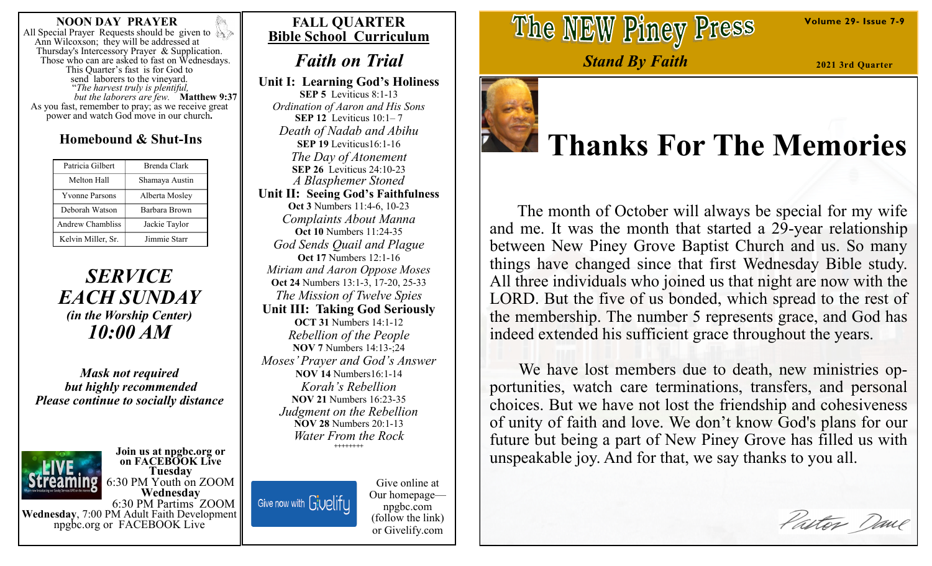#### **NOON DAY PRAYER**

All Special Prayer Requests should be given to Ann Wilcoxson; they will be addressed at Thursday's Intercessory Prayer & Supplication. Those who can are asked to fast on Wednesdays. This Quarter's fast is for God to send laborers to the vineyard. "*The harvest truly is plentiful, but the laborers are few.* **Matthew 9:37**  As you fast, remember to pray; as we receive great power and watch God move in our church**.**

## **Homebound & Shut-Ins**

| Patricia Gilbert      | Brenda Clark         |
|-----------------------|----------------------|
| Melton Hall           | Shamaya Austin       |
| <b>Yvonne Parsons</b> | Alberta Mosley       |
| Deborah Watson        | <b>Barbara Brown</b> |
| Andrew Chambliss      | Jackie Taylor        |
| Kelvin Miller, Sr.    | Jimmie Starr         |

# *SERVICE EACH SUNDAY (in the Worship Center) 10:00 AM*

*Mask not required but highly recommended Please continue to socially distance*

#### **Join us at npgbc.org or on FACEBOOK Live Tuesday** 6:30 PM Youth on ZOOM

**Wednesday** 6:30 PM Partims ZOOM **Wednesday**, 7:00 PM Adult Faith Development npgbc.org or FACEBOOK Live

# **FALL QUARTER Bible School Curriculum**

# *Faith on Trial*

**Unit I: Learning God's Holiness SEP 5** Leviticus 8:1-13 *Ordination of Aaron and His Sons* **SEP 12** Leviticus 10:1– 7 *Death of Nadab and Abihu* **SEP 19** Leviticus16:1-16 *The Day of Atonement* **SEP 26** Leviticus 24:10-23 *A Blasphemer Stoned* **Unit II: Seeing God's Faithfulness Oct 3** Numbers 11:4-6, 10-23 *Complaints About Manna* **Oct 10** Numbers 11:24-35 *God Sends Quail and Plague* **Oct 17** Numbers 12:1-16 *Miriam and Aaron Oppose Moses* **Oct 24** Numbers 13:1-3, 17-20, 25-33 *The Mission of Twelve Spies* **Unit III: Taking God Seriously OCT 31** Numbers 14:1-12 *Rebellion of the People* **NOV 7** Numbers 14:13-;24 *Moses' Prayer and God's Answer* **NOV 14** Numbers16:1-14 *Korah's Rebellion* **NOV 21** Numbers 16:23-35 *Judgment on the Rebellion* **NOV 28** Numbers 20:1-13 *Water From the Rock* **++++++++**

Give now with Givelify

Give online at Our homepage npgbc.com (follow the link) or Givelify.com

The NEW Piney Press

*Stand By Faith*

**2021 3rd Quarter**

**Volume 29- Issue 7-9**



# **Thanks For The Memories**

 The month of October will always be special for my wife and me. It was the month that started a 29-year relationship between New Piney Grove Baptist Church and us. So many things have changed since that first Wednesday Bible study. All three individuals who joined us that night are now with the LORD. But the five of us bonded, which spread to the rest of the membership. The number 5 represents grace, and God has indeed extended his sufficient grace throughout the years.

 We have lost members due to death, new ministries opportunities, watch care terminations, transfers, and personal choices. But we have not lost the friendship and cohesiveness of unity of faith and love. We don't know God's plans for our future but being a part of New Piney Grove has filled us with unspeakable joy. And for that, we say thanks to you all.

Pastor Dane